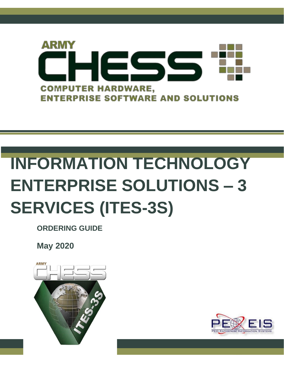

# **INFORMATION TECHNOLOGY ENTERPRISE SOLUTIONS – 3 SERVICES (ITES-3S)**

**ORDERING GUIDE**

**May 2020**



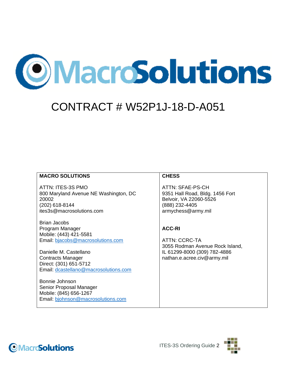

### CONTRACT # W52P1J-18-D-A051

#### **MACRO SOLUTIONS**

ATTN: ITES-3S PMO 800 Maryland Avenue NE Washington, DC 20002 (202) 618-8144 ites3s@macrosolutions.com

Brian Jacobs Program Manager Mobile: (443) 421-5581 Email: [bjacobs@macrosolutions.com](mailto:bjacobs@macrosolutions.com)

Danielle M. Castellano Contracts Manager Direct: (301) 651-5712 Email: [dcastellano@macrosolutions.com](mailto:dcastellano@macrosolutions.com)

Bonnie Johnson Senior Proposal Manager Mobile: (845) 656-1267 Email: [bjohnson@macrosolutions.com](mailto:bjohnson@macrosolutions.com)

#### **CHESS**

ATTN: SFAE-PS-CH 9351 Hall Road, Bldg. 1456 Fort Belvoir, VA 22060-5526 (888) 232-4405 armychess@army.mil

#### **ACC-RI**

ATTN: CCRC-TA 3055 Rodman Avenue Rock Island, IL 61299-8000 (309) 782-4886 nathan.e.acree.civ@army.mil



**OMacroSolutions**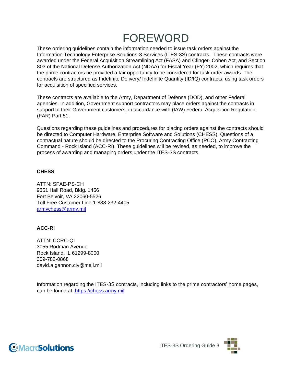# FOREWORD

These ordering guidelines contain the information needed to issue task orders against the Information Technology Enterprise Solutions-3 Services (ITES-3S) contracts. These contracts were awarded under the Federal Acquisition Streamlining Act (FASA) and Clinger- Cohen Act, and Section 803 of the National Defense Authorization Act (NDAA) for Fiscal Year (FY) 2002, which requires that the prime contractors be provided a fair opportunity to be considered for task order awards. The contracts are structured as Indefinite Delivery/ Indefinite Quantity (ID/IQ) contracts, using task orders for acquisition of specified services.

These contracts are available to the Army, Department of Defense (DOD), and other Federal agencies. In addition, Government support contractors may place orders against the contracts in support of their Government customers, in accordance with (IAW) Federal Acquisition Regulation (FAR) Part 51.

Questions regarding these guidelines and procedures for placing orders against the contracts should be directed to Computer Hardware, Enterprise Software and Solutions (CHESS). Questions of a contractual nature should be directed to the Procuring Contracting Office (PCO), Army Contracting Command - Rock Island (ACC-RI). These guidelines will be revised, as needed, to improve the process of awarding and managing orders under the ITES-3S contracts.

#### **CHESS**

ATTN: SFAE-PS-CH 9351 Hall Road, Bldg. 1456 Fort Belvoir, VA 22060-5526 Toll Free Customer Line 1-888-232-4405 armychess@army.mil

#### **ACC-RI**

ATTN: CCRC-QI 3055 Rodman Avenue Rock Island, IL 61299-8000 309-782-0868 david.a.gannon.civ@mail.mil

Information regarding the ITES-3S contracts, including links to the prime contractors' home pages, can be found at: [https://chess.army.mil.](https://chess.army.mil/)



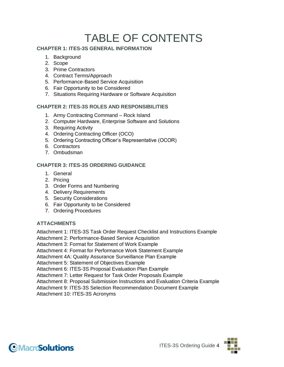# TABLE OF CONTENTS

#### **CHAPTER 1: ITES-3S GENERAL INFORMATION**

- 1. Background
- 2. Scope
- 3. Prime Contractors
- 4. Contract Terms/Approach
- 5. Performance-Based Service Acquisition
- 6. Fair Opportunity to be Considered
- 7. Situations Requiring Hardware or Software Acquisition

#### **CHAPTER 2: ITES-3S ROLES AND RESPONSIBILITIES**

- 1. Army Contracting Command Rock Island
- 2. Computer Hardware, Enterprise Software and Solutions
- 3. Requiring Activity
- 4. Ordering Contracting Officer (OCO)
- 5. Ordering Contracting Officer's Representative (OCOR)
- 6. Contractors
- 7. Ombudsman

#### **CHAPTER 3: ITES-3S ORDERING GUIDANCE**

- 1. General
- 2. Pricing
- 3. Order Forms and Numbering
- 4. Delivery Requirements
- 5. Security Considerations
- 6. Fair Opportunity to be Considered
- 7. Ordering Procedures

#### **ATTACHMENTS**

Attachment 1: ITES-3S Task Order Request Checklist and Instructions Example

Attachment 2: Performance-Based Service Acquisition

Attachment 3: Format for Statement of Work Example

Attachment 4: Format for Performance Work Statement Example

Attachment 4A: Quality Assurance Surveillance Plan Example

Attachment 5: Statement of Objectives Example

Attachment 6: ITES-3S Proposal Evaluation Plan Example

Attachment 7: Letter Request for Task Order Proposals Example

Attachment 8: Proposal Submission Instructions and Evaluation Criteria Example

Attachment 9: ITES-3S Selection Recommendation Document Example

Attachment 10: ITES-3S Acronyms



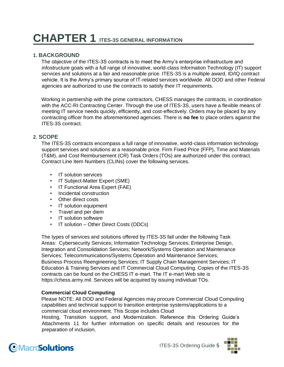# **CHAPTER 1 ITES-3S GENERAL INFORMATION**

#### **1. BACKGROUND**

The objective of the ITES-3S contracts is to meet the Army's enterprise infrastructure and infostructure goals with a full range of innovative, world-class Information Technology (IT) support services and solutions at a fair and reasonable price. ITES-3S is a multiple award, ID/IQ contract vehicle. It is the Army's primary source of IT-related services worldwide. All DOD and other Federal agencies are authorized to use the contracts to satisfy their IT requirements.

Working in partnership with the prime contractors, CHESS manages the contracts, in coordination with the ACC-RI Contracting Center. Through the use of ITES-3S, users have a flexible means of meeting IT service needs quickly, efficiently, and cost-effectively. Orders may be placed by any contracting officer from the aforementioned agencies. There is **no fee** to place orders against the ITES-3S contract.

#### **2. SCOPE**

The ITES-3S contracts encompass a full range of innovative, world-class information technology support services and solutions at a reasonable price. Firm Fixed Price (FFP), Time and Materials (T&M), and Cost Reimbursement (CR) Task Orders (TOs) are authorized under this contract. Contract Line Item Numbers (CLINs) cover the following services.

- IT solution services
- IT Subject-Matter Expert (SME)
- IT Functional Area Expert (FAE)
- Incidental construction
- Other direct costs
- IT solution equipment
- Travel and per diem
- IT solution software
- IT solution Other Direct Costs (ODCs)

The types of services and solutions offered by ITES-3S fall under the following Task Areas: Cybersecurity Services; Information Technology Services; Enterprise Design, Integration and Consolidation Services; Network/Systems Operation and Maintenance Services; Telecommunications/Systems Operation and Maintenance Services; Business Process Reengineering Services; IT Supply Chain Management Services; IT Education & Training Services and IT Commercial Cloud Computing. Copies of the ITES-3S contracts can be found on the CHESS IT e-mart. The IT e-mart Web site [is](https://chess.army.mil/)  [https://chess.army.mil. Se](https://chess.army.mil/)rvices will be acquired by issuing individual TOs.

#### **Commercial Cloud Computing**

Please NOTE: All DOD and Federal Agencies may procure Commercial Cloud Computing capabilities and technical support to transition enterprise systems/applications to a commercial cloud environment. This Scope includes Cloud

Hosting, Transition support, and Modernization. Reference this Ordering Guide's Attachments 11 for further information on specific details and resources for the preparation of inclusion.

### **OMacroSolutions**

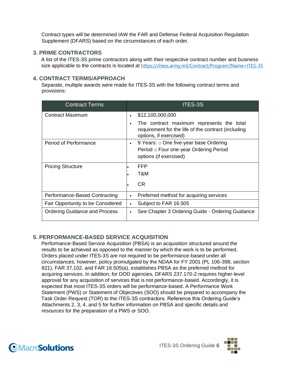Contract types will be determined IAW the FAR and Defense Federal Acquisition Regulation Supplement (DFARS) based on the circumstances of each order.

#### **3. PRIME CONTRACTORS**

A list of the ITES-3S prime contractors along with their respective contract number and business size applicable to the contracts is located at <https://chess.army.mil/Contract/Program?Name=ITES-3S>

#### **4. CONTRACT TERMS/APPROACH**

Separate, multiple awards were made for ITES-3S with the following contract terms and provisions:

| <b>Contract Terms</b>                |           | <b>ITES-3S</b>                                                                                                             |
|--------------------------------------|-----------|----------------------------------------------------------------------------------------------------------------------------|
| Contract Maximum                     | $\bullet$ | \$12,100,000,000                                                                                                           |
|                                      | $\bullet$ | The contract maximum represents the total<br>requirement for the life of the contract (including<br>options, if exercised) |
| <b>Period of Performance</b>         | $\bullet$ | 9 Years: o One five-year base Ordering                                                                                     |
|                                      |           | Period o Four one-year Ordering Period                                                                                     |
|                                      |           | options (if exercised)                                                                                                     |
| <b>Pricing Structure</b>             |           | <b>FFP</b>                                                                                                                 |
|                                      |           | T&M                                                                                                                        |
|                                      |           | <b>CR</b>                                                                                                                  |
| Performance-Based Contracting        | $\bullet$ | Preferred method for acquiring services                                                                                    |
| Fair Opportunity to be Considered    | $\bullet$ | Subject to FAR 16.505                                                                                                      |
| <b>Ordering Guidance and Process</b> | $\bullet$ | See Chapter 3 Ordering Guide - Ordering Guidance                                                                           |

#### **5. PERFORMANCE-BASED SERVICE ACQUISITION**

Performance-Based Service Acquisition (PBSA) is an acquisition structured around the results to be achieved as opposed to the manner by which the work is to be performed. Orders placed under ITES-3S are not required to be performance-based under all circumstances; however, policy promulgated by the NDAA for FY 2001 (PL 106-398, section 821), FAR 37.102, and FAR 16.505(a), establishes PBSA as the preferred method for acquiring services. In addition, for DOD agencies, DFARS 237.170-2 requires higher-level approval for any acquisition of services that is not performance-based. Accordingly, it is expected that most ITES-3S orders will be performance-based. A Performance Work Statement (PWS) or Statement of Objectives (SOO) should be prepared to accompany the Task Order Request (TOR) to the ITES-3S contractors. Reference this Ordering Guide's Attachments 2, 3, 4, and 5 for further information on PBSA and specific details and resources for the preparation of a PWS or SOO.



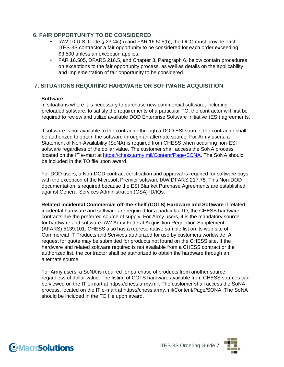#### **6. FAIR OPPORTUNITY TO BE CONSIDERED**

- IAW 10 U.S. Code § 2304c(b) and FAR 16.505(b), the OCO must provide each ITES-3S contractor a fair opportunity to be considered for each order exceeding \$3,500 unless an exception applies.
- FAR 16.505, DFARS 216.5, and Chapter 3, Paragraph 6, below contain procedures on exceptions to the fair opportunity process, as well as details on the applicability and implementation of fair opportunity to be considered.

#### **7. SITUATIONS REQUIRING HARDWARE OR SOFTWARE ACQUISITION**

#### **Software**

In situations where it is necessary to purchase new commercial software, including preloaded software, to satisfy the requirements of a particular TO, the contractor will first be required to review and utilize available DOD Enterprise Software Initiative (ESI) agreements.

If software is not available to the contractor through a DOD ESI source, the contractor shall be authorized to obtain the software through an alternate source. For Army users, a Statement of Non-Availability (SoNA) is required from CHESS when acquiring non-ESI software regardless of the dollar value. The customer shall access the SoNA process, located on the IT e-mart at [https://chess.army.mil/Content/Page/SONA.](https://chess.army.mil/Content/Page/SONA) The SoNA should be included in the TO file upon award.

For DOD users, a Non-DOD contract certification and approval is required for software buys, with the exception of the Microsoft Premier software IAW DFARS 217.78. This Non-DOD documentation is required because the ESI Blanket Purchase Agreements are established against General Services Administration (GSA) ID/IQs**.**

**Related incidental Commercial off-the-shelf (COTS) Hardware and Software** If related incidental hardware and software are required for a particular TO, the CHESS hardware contracts are the preferred source of supply. For Army users, it is the mandatory source for hardware and software IAW Army Federal Acquisition Regulation Supplement (AFARS) 5139.101. CHESS also has a representative sample list on its web site of Commercial IT Products and Services authorized for use by customers worldwide. A request for quote may be submitted for products not found on the CHESS site. If the hardware and related software required is not available from a CHESS contract or the authorized list, the contractor shall be authorized to obtain the hardware through an alternate source.

For Army users, a SoNA is required for purchase of products from another source regardless of dollar value. The listing of COTS hardware available from CHESS sources can be viewed on the IT e-mart at [https://chess.army.mil.](https://chess.army.mil/) The customer shall access the SoNA process, located on the IT e-mart at [https://chess.army.mil/Content/Page/SONA.](https://chess.army.mil/Content/Page/SONA) The SoNA should be included in the TO file upon award.



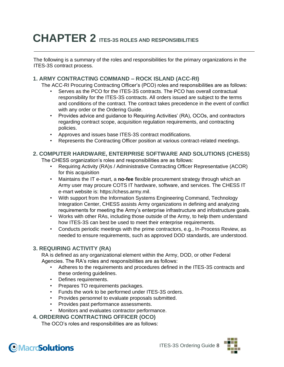# **CHAPTER 2 ITES-3S ROLES AND RESPONSIBILITIES**

The following is a summary of the roles and responsibilities for the primary organizations in the ITES-3S contract process.

#### **1. ARMY CONTRACTING COMMAND – ROCK ISLAND (ACC-RI)**

The ACC-RI Procuring Contracting Officer's (PCO) roles and responsibilities are as follows:

- Serves as the PCO for the ITES-3S contracts. The PCO has overall contractual responsibility for the ITES-3S contracts. All orders issued are subject to the terms and conditions of the contract. The contract takes precedence in the event of conflict with any order or the Ordering Guide.
- Provides advice and guidance to Requiring Activities' (RA), OCOs, and contractors regarding contract scope, acquisition regulation requirements, and contracting policies.
- Approves and issues base ITES-3S contract modifications.
- Represents the Contracting Officer position at various contract-related meetings.

#### **2. COMPUTER HARDWARE, ENTERPRISE SOFTWARE AND SOLUTIONS (CHESS)** The CHESS organization's roles and responsibilities are as follows:

- Requiring Activity (RA)s / Administrative Contracting Officer Representative (ACOR) for this acquisition
- Maintains the IT e-mart, a **no-fee** flexible procurement strategy through which an Army user may procure COTS IT hardware, software, and services. The CHESS IT e-mart website is: [https://chess.army.mil.](https://chess.army.mil/)
- With support from the Information Systems Engineering Command, Technology Integration Center, CHESS assists Army organizations in defining and analyzing requirements for meeting the Army's enterprise infrastructure and infostructure goals.
- Works with other RAs, including those outside of the Army, to help them understand how ITES-3S can best be used to meet their enterprise requirements.
- Conducts periodic meetings with the prime contractors, e.g., In-Process Review, as needed to ensure requirements, such as approved DOD standards, are understood.

#### **3. REQUIRING ACTIVITY (RA)**

RA is defined as any organizational element within the Army, DOD, or other Federal Agencies. The RA's roles and responsibilities are as follows:

- Adheres to the requirements and procedures defined in the ITES-3S contracts and these ordering guidelines.
- Defines requirements.
- Prepares TO requirements packages.
- Funds the work to be performed under ITES-3S orders.
- Provides personnel to evaluate proposals submitted.
- Provides past performance assessments.
- Monitors and evaluates contractor performance.

#### **4. ORDERING CONTRACTING OFFICER (OCO)**

The OCO's roles and responsibilities are as follows:

### **OMacroSolutions**

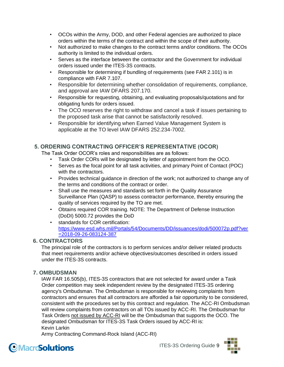- OCOs within the Army, DOD, and other Federal agencies are authorized to place orders within the terms of the contract and within the scope of their authority.
- Not authorized to make changes to the contract terms and/or conditions. The OCOs authority is limited to the individual orders.
- Serves as the interface between the contractor and the Government for individual orders issued under the ITES-3S contracts.
- Responsible for determining if bundling of requirements (see FAR 2.101) is in compliance with FAR 7.107.
- Responsible for determining whether consolidation of requirements, compliance, and approval are IAW DFARS 207.170.
- Responsible for requesting, obtaining, and evaluating proposals/quotations and for obligating funds for orders issued.
- The OCO reserves the right to withdraw and cancel a task if issues pertaining to the proposed task arise that cannot be satisfactorily resolved.
- Responsible for identifying when Earned Value Management System is applicable at the TO level IAW DFARS 252.234-7002.

#### **5. ORDERING CONTRACTING OFFICER'S REPRESENTATIVE (OCOR)**

The Task Order OCOR's roles and responsibilities are as follows:

- Task Order CORs will be designated by letter of appointment from the OCO.
- Serves as the focal point for all task activities, and primary Point of Contact (POC) with the contractors.
- Provides technical guidance in direction of the work; not authorized to change any of the terms and conditions of the contract or order.
- Shall use the measures and standards set forth in the Quality Assurance Surveillance Plan (QASP) to assess contractor performance, thereby ensuring the quality of services required by the TO are met.
- Obtains required COR training. NOTE: The Department of Defense Instruction (DoDI) 5000.72 provides the DoD
- standards for COR certification: [https://www.esd.whs.mil/Portals/54/Documents/DD/issuances/dodi/500072p.pdf?ver](https://www.esd.whs.mil/Portals/54/Documents/DD/issuances/dodi/500072p.pdf?ver=2018-09-26-083124-387%20)  [=2018-09-26-083124-387](https://www.esd.whs.mil/Portals/54/Documents/DD/issuances/dodi/500072p.pdf?ver=2018-09-26-083124-387%20)

#### **6. CONTRACTORS**

The principal role of the contractors is to perform services and/or deliver related products that meet requirements and/or achieve objectives/outcomes described in orders issued under the ITES-3S contracts.

#### **7. OMBUDSMAN**

IAW FAR 16.505(b), ITES-3S contractors that are not selected for award under a Task Order competition may seek independent review by the designated ITES-3S ordering agency's Ombudsman. The Ombudsman is responsible for reviewing complaints from contractors and ensures that all contractors are afforded a fair opportunity to be considered, consistent with the procedures set by this contract and regulation. The ACC-RI Ombudsman will review complaints from contractors on all TOs issued by ACC-RI. The Ombudsman for Task Orders not issued by ACC-RI will be the Ombudsman that supports the OCO. The designated Ombudsman for ITES-3S Task Orders issued by ACC-RI is: Kevin Larkin

Army Contracting Command-Rock Island (ACC-RI)



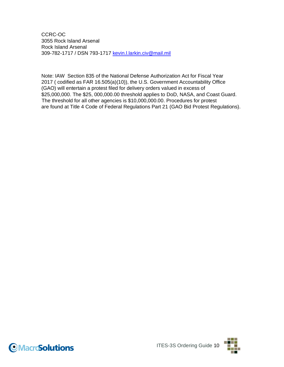CCRC-OC 3055 Rock Island Arsenal Rock Island Arsenal 309-782-1717 / DSN 793-1717 kevin.l.larkin.civ@mail.mil

Note: IAW Section 835 of the National Defense Authorization Act for Fiscal Year 2017 ( codified as FAR 16.505(a)(10)), the U.S. Government Accountability Office (GAO) will entertain a protest filed for delivery orders valued in excess of \$25,000,000. The \$25, 000,000.00 threshold applies to DoD, NASA, and Coast Guard. The threshold for all other agencies is \$10,000,000.00. Procedures for protest are found at Title 4 Code of Federal Regulations Part 21 (GAO Bid Protest Regulations).



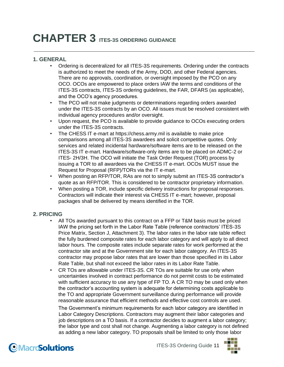# **CHAPTER 3 ITES-3S ORDERING GUIDANCE**

#### **1. GENERAL**

- Ordering is decentralized for all ITES-3S requirements. Ordering under the contracts is authorized to meet the needs of the Army, DOD, and other Federal agencies. There are no approvals, coordination, or oversight imposed by the PCO on any OCO. OCOs are empowered to place orders IAW the terms and conditions of the ITES-3S contracts, ITES-3S ordering guidelines, the FAR, DFARS (as applicable), and the OCO's agency procedures.
- The PCO will not make judgments or determinations regarding orders awarded under the ITES-3S contracts by an OCO. All issues must be resolved consistent with individual agency procedures and/or oversight.
- Upon request, the PCO is available to provide guidance to OCOs executing orders under the ITES-3S contracts.
- The CHESS IT e-mart at [https://chess.army.mil is](https://chess.army.mil/) available to make price comparisons among all ITES-3S awardees and solicit competitive quotes. Only services and related incidental hardware/software items are to be released on the ITES-3S IT e-mart. Hardware/software-only items are to be placed on ADMC-2 or ITES- 2H/3H. The OCO will initiate the Task Order Request (TOR) process by issuing a TOR to all awardees via the CHESS IT e-mart. OCOs MUST issue the Request for Proposal (RFP)/TORs via the IT e-mart.
- When posting an RFP/TOR, RAs are not to simply submit an ITES-3S contractor's quote as an RFP/TOR. This is considered to be contractor proprietary information.
- When posting a TOR, include specific delivery instructions for proposal responses. Contractors will indicate their interest via CHESS IT e-mart; however, proposal packages shall be delivered by means identified in the TOR.

#### **2. PRICING**

- All TOs awarded pursuant to this contract on a FFP or T&M basis must be priced IAW the pricing set forth in the Labor Rate Table (reference contractors' ITES-3S Price Matrix, Section J, Attachment 3). The labor rates in the labor rate table reflect the fully burdened composite rates for each labor category and will apply to all direct labor hours. The composite rates include separate rates for work performed at the contractor site and at the Government site for each labor category. An ITES-3S contractor may propose labor rates that are lower than those specified in its Labor Rate Table, but shall not exceed the labor rates in its Labor Rate Table.
- CR TOs are allowable under ITES-3S. CR TOs are suitable for use only when uncertainties involved in contract performance do not permit costs to be estimated with sufficient accuracy to use any type of FP TO. A CR TO may be used only when the contractor's accounting system is adequate for determining costs applicable to the TO and appropriate Government surveillance during performance will provide reasonable assurance that efficient methods and effective cost controls are used.

The Government's minimum requirements for each labor category are identified in Labor Category Descriptions. Contractors may augment their labor categories and job descriptions on a TO basis. If a contractor decides to augment a labor category; the labor type and cost shall not change. Augmenting a labor category is not defined as adding a new labor category. TO proposals shall be limited to only those labor

**OMacroSolutions** 

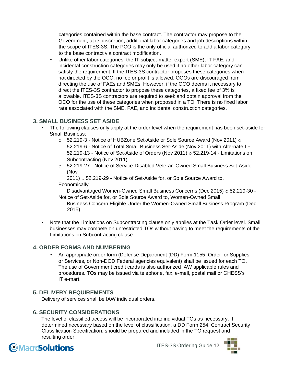categories contained within the base contract. The contractor may propose to the Government, at its discretion, additional labor categories and job descriptions within the scope of ITES-3S. The PCO is the only official authorized to add a labor category to the base contract via contract modification.

• Unlike other labor categories, the IT subject-matter expert (SME), IT FAE, and incidental construction categories may only be used if no other labor category can satisfy the requirement. If the ITES-3S contractor proposes these categories when not directed by the OCO, no fee or profit is allowed. OCOs are discouraged from directing the use of FAEs and SMEs. However, if the OCO deems it necessary to direct the ITES-3S contractor to propose these categories, a fixed fee of 3% is allowable. ITES-3S contractors are required to seek and obtain approval from the OCO for the use of these categories when proposed in a TO. There is no fixed labor rate associated with the SME, FAE, and incidental construction categories.

#### **3. SMALL BUSINESS SET ASIDE**

- The following clauses only apply at the order level when the requirement has been set-aside for Small Business:
	- o 52.219-3 Notice of HUBZone Set-Aside or Sole Source Award (Nov 2011) o 52.219-6 - Notice of Total Small Business Set-Aside (Nov 2011) with Alternate I o 52.219-13 - Notice of Set-Aside of Orders (Nov 2011) o 52.219-14 - Limitations on Subcontracting (Nov 2011)
	- o 52.219-27 Notice of Service-Disabled Veteran-Owned Small Business Set-Aside (Nov

2011) o 52.219-29 - Notice of Set-Aside for, or Sole Source Award to,

#### **Economically**

Disadvantaged Women-Owned Small Business Concerns (Dec 2015) o 52.219-30 - Notice of Set-Aside for, or Sole Source Award to, Women-Owned Small

Business Concern Eligible Under the Women-Owned Small Business Program (Dec 2015)

• Note that the Limitations on Subcontracting clause only applies at the Task Order level. Small businesses may compete on unrestricted TOs without having to meet the requirements of the Limitations on Subcontracting clause.

#### **4. ORDER FORMS AND NUMBERING**

• An appropriate order form (Defense Department (DD) Form 1155, Order for Supplies or Services, or Non-DOD Federal agencies equivalent) shall be issued for each TO. The use of Government credit cards is also authorized IAW applicable rules and procedures. TOs may be issued via telephone, fax, e-mail, postal mail or CHESS's IT e-mart.

#### **5. DELIVERY REQUIREMENTS**

Delivery of services shall be IAW individual orders.

#### **6. SECURITY CONSIDERATIONS**

The level of classified access will be incorporated into individual TOs as necessary. If determined necessary based on the level of classification, a DD Form 254, Contract Security Classification Specification, should be prepared and included in the TO request and resulting order.



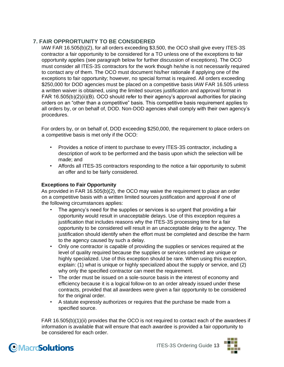#### **7. FAIR OPPRORTUNITY TO BE CONSIDERED**

IAW FAR 16.505(b)(2), for all orders exceeding \$3,500, the OCO shall give every ITES-3S contractor a fair opportunity to be considered for a TO unless one of the exceptions to fair opportunity applies (see paragraph below for further discussion of exceptions). The OCO must consider all ITES-3S contractors for the work though he/she is not necessarily required to contact any of them. The OCO must document his/her rationale if applying one of the exceptions to fair opportunity; however, no special format is required. All orders exceeding \$250,000 for DOD agencies must be placed on a competitive basis IAW FAR 16.505 unless a written waiver is obtained, using the limited sources justification and approval format in FAR 16.505(b)(2)(ii)(B). OCO should refer to their agency's approval authorities for placing orders on an "other than a competitive" basis. This competitive basis requirement applies to all orders by, or on behalf of, DOD. Non-DOD agencies shall comply with their own agency's procedures.

For orders by, or on behalf of, DOD exceeding \$250,000, the requirement to place orders on a competitive basis is met only if the OCO:

- Provides a notice of intent to purchase to every ITES-3S contractor, including a description of work to be performed and the basis upon which the selection will be made; and
- Affords all ITES-3S contractors responding to the notice a fair opportunity to submit an offer and to be fairly considered.

#### **Exceptions to Fair Opportunity**

As provided in FAR 16.505(b)(2), the OCO may waive the requirement to place an order on a competitive basis with a written limited sources justification and approval if one of the following circumstances applies:

- The agency's need for the supplies or services is so urgent that providing a fair opportunity would result in unacceptable delays. Use of this exception requires a justification that includes reasons why the ITES-3S processing time for a fair opportunity to be considered will result in an unacceptable delay to the agency. The justification should identify when the effort must be completed and describe the harm to the agency caused by such a delay.
- Only one contractor is capable of providing the supplies or services required at the level of quality required because the supplies or services ordered are unique or highly specialized. Use of this exception should be rare. When using this exception, explain: (1) what is unique or highly specialized about the supply or service, and (2) why only the specified contractor can meet the requirement.
- The order must be issued on a sole-source basis in the interest of economy and efficiency because it is a logical follow-on to an order already issued under these contracts, provided that all awardees were given a fair opportunity to be considered for the original order.
- A statute expressly authorizes or requires that the purchase be made from a specified source.

FAR 16.505(b)(1)(ii) provides that the OCO is not required to contact each of the awardees if information is available that will ensure that each awardee is provided a fair opportunity to be considered for each order.



### **OMacroSolutions**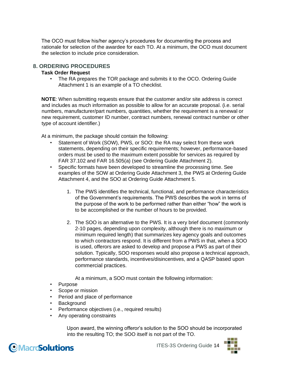The OCO must follow his/her agency's procedures for documenting the process and rationale for selection of the awardee for each TO. At a minimum, the OCO must document the selection to include price consideration.

#### **8. ORDERING PROCEDURES**

#### **Task Order Request**

• The RA prepares the TOR package and submits it to the OCO. Ordering Guide Attachment 1 is an example of a TO checklist.

**NOTE**: When submitting requests ensure that the customer and/or site address is correct and includes as much information as possible to allow for an accurate proposal. (i.e. serial numbers, manufacturer/part numbers, quantities, whether the requirement is a renewal or new requirement, customer ID number, contract numbers, renewal contract number or other type of account identifier.)

At a minimum, the package should contain the following:

- Statement of Work (SOW), PWS, or SOO: the RA may select from these work statements, depending on their specific requirements; however, performance-based orders must be used to the maximum extent possible for services as required by FAR 37.102 and FAR 16.505(a) (see Ordering Guide Attachment 2).
- Specific formats have been developed to streamline the processing time. See examples of the SOW at Ordering Guide Attachment 3, the PWS at Ordering Guide Attachment 4, and the SOO at Ordering Guide Attachment 5.
	- 1. The PWS identifies the technical, functional, and performance characteristics of the Government's requirements. The PWS describes the work in terms of the purpose of the work to be performed rather than either "how" the work is to be accomplished or the number of hours to be provided.
	- 2. The SOO is an alternative to the PWS. It is a very brief document (commonly 2-10 pages, depending upon complexity, although there is no maximum or minimum required length) that summarizes key agency goals and outcomes to which contractors respond. It is different from a PWS in that, when a SOO is used, offerors are asked to develop and propose a PWS as part of their solution. Typically, SOO responses would also propose a technical approach, performance standards, incentives/disincentives, and a QASP based upon commercial practices.

At a minimum, a SOO must contain the following information:

- Purpose
- Scope or mission
- Period and place of performance
- Background
- Performance objectives (i.e., required results)
- Any operating constraints

Upon award, the winning offeror's solution to the SOO should be incorporated into the resulting TO; the SOO itself is not part of the TO.



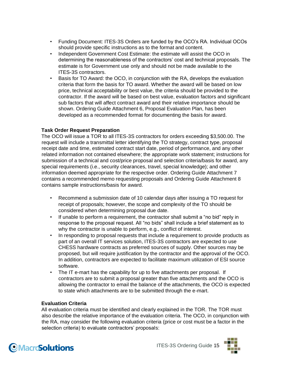- Funding Document: ITES-3S Orders are funded by the OCO's RA. Individual OCOs should provide specific instructions as to the format and content.
- Independent Government Cost Estimate: the estimate will assist the OCO in determining the reasonableness of the contractors' cost and technical proposals. The estimate is for Government use only and should not be made available to the ITES-3S contractors.
- Basis for TO Award: the OCO, in conjunction with the RA, develops the evaluation criteria that form the basis for TO award. Whether the award will be based on low price, technical acceptability or best value, the criteria should be provided to the contractor. If the award will be based on best value, evaluation factors and significant sub factors that will affect contract award and their relative importance should be shown. Ordering Guide Attachment 6, Proposal Evaluation Plan, has been developed as a recommended format for documenting the basis for award.

#### **Task Order Request Preparation**

The OCO will issue a TOR to all ITES-3S contractors for orders exceeding \$3,500.00. The request will include a transmittal letter identifying the TO strategy, contract type, proposal receipt date and time, estimated contract start date, period of performance, and any other related information not contained elsewhere; the appropriate work statement; instructions for submission of a technical and cost/price proposal and selection criteria/basis for award, any special requirements (i.e., security clearances, travel, special knowledge); and other information deemed appropriate for the respective order. Ordering Guide Attachment 7 contains a recommended memo requesting proposals and Ordering Guide Attachment 8 contains sample instructions/basis for award.

- Recommend a submission date of 10 calendar days after issuing a TO request for receipt of proposals; however, the scope and complexity of the TO should be considered when determining proposal due date.
- If unable to perform a requirement, the contractor shall submit a "no bid" reply in response to the proposal request. All "no bids" shall include a brief statement as to why the contractor is unable to perform, e.g., conflict of interest.
- In responding to proposal requests that include a requirement to provide products as part of an overall IT services solution, ITES-3S contractors are expected to use CHESS hardware contracts as preferred sources of supply. Other sources may be proposed, but will require justification by the contractor and the approval of the OCO. In addition, contractors are expected to facilitate maximum utilization of ESI source software.
- The IT e-mart has the capability for up to five attachments per proposal. If contractors are to submit a proposal greater than five attachments and the OCO is allowing the contractor to email the balance of the attachments, the OCO is expected to state which attachments are to be submitted through the e-mart.

#### **Evaluation Criteria**

All evaluation criteria must be identified and clearly explained in the TOR. The TOR must also describe the relative importance of the evaluation criteria. The OCO, in conjunction with the RA, may consider the following evaluation criteria (price or cost must be a factor in the selection criteria) to evaluate contractors' proposals:



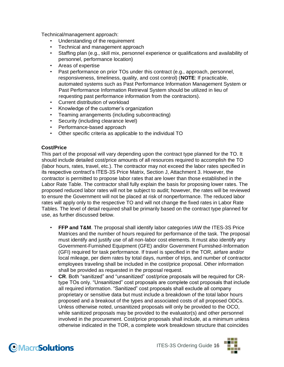Technical/management approach:

- Understanding of the requirement
- Technical and management approach
- Staffing plan (e.g., skill mix, personnel experience or qualifications and availability of personnel, performance location)
- Areas of expertise
- Past performance on prior TOs under this contract (e.g., approach, personnel, responsiveness, timeliness, quality, and cost control) (**NOTE**: If practicable, automated systems such as Past Performance Information Management System or Past Performance Information Retrieval System should be utilized in lieu of requesting past performance information from the contractors).
- Current distribution of workload
- Knowledge of the customer's organization
- Teaming arrangements (including subcontracting)
- Security (including clearance level)
- Performance-based approach
- Other specific criteria as applicable to the individual TO

#### **Cost/Price**

This part of the proposal will vary depending upon the contract type planned for the TO. It should include detailed cost/price amounts of all resources required to accomplish the TO (labor hours, rates, travel, etc.). The contractor may not exceed the labor rates specified in its respective contract's ITES-3S Price Matrix, Section J, Attachment 3. However, the contractor is permitted to propose labor rates that are lower than those established in the Labor Rate Table. The contractor shall fully explain the basis for proposing lower rates. The proposed reduced labor rates will not be subject to audit; however, the rates will be reviewed to ensure the Government will not be placed at risk of nonperformance. The reduced labor rates will apply only to the respective TO and will not change the fixed rates in Labor Rate Tables. The level of detail required shall be primarily based on the contract type planned for use, as further discussed below.

- **FFP and T&M**. The proposal shall identify labor categories IAW the ITES-3S Price Matrices and the number of hours required for performance of the task. The proposal must identify and justify use of all non-labor cost elements. It must also identify any Government-Furnished Equipment (GFE) and/or Government Furnished-Information (GFI) required for task performance. If travel is specified in the TOR, airfare and/or local mileage, per diem rates by total days, number of trips, and number of contractor employees traveling shall be included in the cost/price proposal. Other information shall be provided as requested in the proposal request.
- **CR**. Both "sanitized" and "unsanitized" cost/price proposals will be required for CRtype TOs only. "Unsanitized" cost proposals are complete cost proposals that include all required information. "Sanitized" cost proposals shall exclude all company proprietary or sensitive data but must include a breakdown of the total labor hours proposed and a breakout of the types and associated costs of all proposed ODCs. Unless otherwise noted, unsanitized proposals will only be provided to the OCO, while sanitized proposals may be provided to the evaluator(s) and other personnel involved in the procurement. Cost/price proposals shall include, at a minimum unless otherwise indicated in the TOR, a complete work breakdown structure that coincides



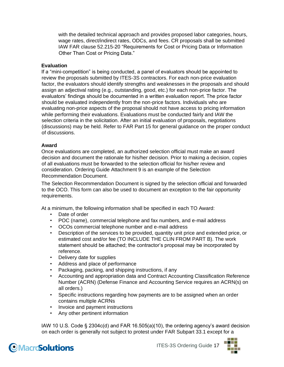with the detailed technical approach and provides proposed labor categories, hours, wage rates, direct/indirect rates, ODCs, and fees. CR proposals shall be submitted IAW FAR clause 52.215-20 "Requirements for Cost or Pricing Data or Information Other Than Cost or Pricing Data."

#### **Evaluation**

If a "mini-competition" is being conducted, a panel of evaluators should be appointed to review the proposals submitted by ITES-3S contractors. For each non-price evaluation factor, the evaluators should identify strengths and weaknesses in the proposals and should assign an adjectival rating (e.g., outstanding, good, etc.) for each non-price factor. The evaluators' findings should be documented in a written evaluation report. The price factor should be evaluated independently from the non-price factors. Individuals who are evaluating non-price aspects of the proposal should not have access to pricing information while performing their evaluations. Evaluations must be conducted fairly and IAW the selection criteria in the solicitation. After an initial evaluation of proposals, negotiations (discussions) may be held. Refer to FAR Part 15 for general guidance on the proper conduct of discussions.

#### **Award**

Once evaluations are completed, an authorized selection official must make an award decision and document the rationale for his/her decision. Prior to making a decision, copies of all evaluations must be forwarded to the selection official for his/her review and consideration. Ordering Guide Attachment 9 is an example of the Selection Recommendation Document.

The Selection Recommendation Document is signed by the selection official and forwarded to the OCO. This form can also be used to document an exception to the fair opportunity requirements.

At a minimum, the following information shall be specified in each TO Award:

- Date of order
- POC (name), commercial telephone and fax numbers, and e-mail address
- OCOs commercial telephone number and e-mail address
- Description of the services to be provided, quantity unit price and extended price, or estimated cost and/or fee (TO INCLUDE THE CLIN FROM PART B). The work statement should be attached; the contractor's proposal may be incorporated by reference.
- Delivery date for supplies
- Address and place of performance
- Packaging, packing, and shipping instructions, if any
- Accounting and appropriation data and Contract Accounting Classification Reference Number (ACRN) (Defense Finance and Accounting Service requires an ACRN(s) on all orders.)
- Specific instructions regarding how payments are to be assigned when an order contains multiple ACRNs
- Invoice and payment instructions
- Any other pertinent information

IAW 10 U.S. Code § 2304c(d) and FAR 16.505(a)(10), the ordering agency's award decision on each order is generally not subject to protest under FAR Subpart 33.1 except for a



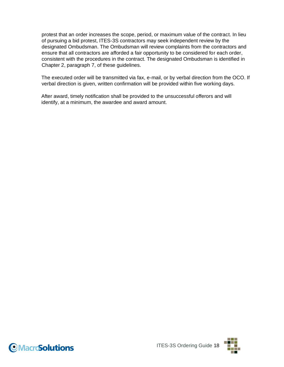protest that an order increases the scope, period, or maximum value of the contract. In lieu of pursuing a bid protest, ITES-3S contractors may seek independent review by the designated Ombudsman. The Ombudsman will review complaints from the contractors and ensure that all contractors are afforded a fair opportunity to be considered for each order, consistent with the procedures in the contract. The designated Ombudsman is identified in Chapter 2, paragraph 7, of these guidelines.

The executed order will be transmitted via fax, e-mail, or by verbal direction from the OCO. If verbal direction is given, written confirmation will be provided within five working days.

After award, timely notification shall be provided to the unsuccessful offerors and will identify, at a minimum, the awardee and award amount.



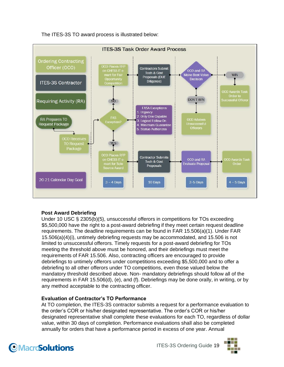The ITES-3S TO award process is illustrated below:



#### **Post Award Debriefing**

Under 10 USC § 2305(b)(5), unsuccessful offerors in competitions for TOs exceeding \$5,500,000 have the right to a post-award debriefing if they meet certain request deadline requirements. The deadline requirements can be found in FAR 15.506(a)(1). Under FAR 15.506(a)(4)(i), untimely debriefing requests may be accommodated, and 15.506 is not limited to unsuccessful offerors. Timely requests for a post-award debriefing for TOs meeting the threshold above must be honored, and their debriefings must meet the requirements of FAR 15.506. Also, contracting officers are encouraged to provide debriefings to untimely offerors under competitions exceeding \$5,500,000 and to offer a debriefing to all other offerors under TO competitions, even those valued below the mandatory threshold described above. Non- mandatory debriefings should follow all of the requirements in FAR 15.506(d), (e), and (f). Debriefings may be done orally, in writing, or by any method acceptable to the contracting officer.

#### **Evaluation of Contractor's TO Performance**

At TO completion, the ITES-3S contractor submits a request for a performance evaluation to the order's COR or his/her designated representative. The order's COR or his/her designated representative shall complete these evaluations for each TO, regardless of dollar value, within 30 days of completion. Performance evaluations shall also be completed annually for orders that have a performance period in excess of one year. Annual



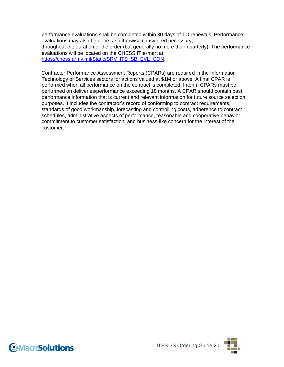performance evaluations shall be completed within 30 days of TO renewals. Performance evaluations may also be done, as otherwise considered necessary, throughout the duration of the order (but generally no more than quarterly). The performance evaluations will be located on the CHESS IT e-mart at https://chess.army.mil/Static/SRV\_ITS\_SB\_EVL\_CON.

Contractor Performance Assessment Reports (CPARs) are required in the Information Technology or Services sectors for actions valued at \$1M or above. A final CPAR is performed when all performance on the contract is completed. Interim CPARs must be performed on deliveries/performance exceeding 18 months. A CPAR should contain past performance information that is current and relevant information for future source selection purposes. It includes the contractor's record of conforming to contract requirements, standards of good workmanship, forecasting and controlling costs, adherence to contract schedules, administrative aspects of performance, reasonable and cooperative behavior, commitment to customer satisfaction, and business-like concern for the interest of the customer.



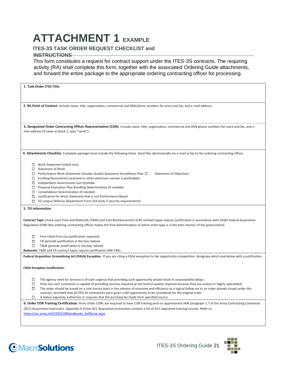# **ATTACHMENT 1 EXAMPLE**

#### **ITES-3S TASK ORDER REQUEST CHECKLIST and**

#### **INSTRUCTIONS**

This form constitutes a request for contract support under the ITES-3S contracts. The requiring activity (RA) shall complete this form, together with the associated Ordering Guide attachments, and forward the entire package to the appropriate ordering contracting officer for processing.

| 1. Task Order (TO) Title.                                                                                                                                                                                                                                                                                                                                                                                                                                                                                                                                                                                                                                           |  |  |  |  |
|---------------------------------------------------------------------------------------------------------------------------------------------------------------------------------------------------------------------------------------------------------------------------------------------------------------------------------------------------------------------------------------------------------------------------------------------------------------------------------------------------------------------------------------------------------------------------------------------------------------------------------------------------------------------|--|--|--|--|
| 2. RA Point of Contact. Include name, title, organization, commercial and DSN phone numbers for voice and fax, and e-mail address:                                                                                                                                                                                                                                                                                                                                                                                                                                                                                                                                  |  |  |  |  |
|                                                                                                                                                                                                                                                                                                                                                                                                                                                                                                                                                                                                                                                                     |  |  |  |  |
| 3. Designated Order Contracting Officer Representative (COR). Include name, title, organization, commercial and DSN phone numbers for voice and fax, and e-<br>mail address (If same as block 2, type "same"):                                                                                                                                                                                                                                                                                                                                                                                                                                                      |  |  |  |  |
| 4. Attachments Checklist. Complete package must include the following items. Send files electronically via e-mail or fax to the ordering contracting officer.                                                                                                                                                                                                                                                                                                                                                                                                                                                                                                       |  |  |  |  |
| $\Box$ Work Statement (check one)<br>$\Box$ Statement of Work<br>$\Box$ Performance Work Statement includes Quality Assurance Surveillance Plan $\Box$<br><b>Statement of Objectives</b><br>$\Box$ Funding Document(s) (scanned or other electronic version is preferable)<br>□ Independent Government Cost Estimate<br>$\Box$ Proposal Evaluation Plan Bundling Determination (if needed)<br>$\Box$ Consolidation Determination (if needed)<br>$\Box$ Justification for Work Statement that is not Performance-Based<br>$\Box$ TO unique Defense Department Form 254 (only if security requirements)                                                               |  |  |  |  |
| 5. TO Information                                                                                                                                                                                                                                                                                                                                                                                                                                                                                                                                                                                                                                                   |  |  |  |  |
| Contract Type (check one) Time and Materials (T&M) and Cost Reimbursement (CR) contract types require justification in accordance with (IAW) Federal Acquisition<br>Regulation (FAR) (the ordering contracting officer makes the final determination of which order type is in the best interest of the government).                                                                                                                                                                                                                                                                                                                                                |  |  |  |  |
| Firm Fixed Price (no justification required)<br>о<br>CR (provide justification in the box, below)<br>о<br>T&M (provide justification in the box, below)<br>Rationale: T&M and CR contract types require justification IAW FARs.                                                                                                                                                                                                                                                                                                                                                                                                                                     |  |  |  |  |
| Federal Acquisition Streamlining Act (FASA) Exception. If you are citing a FASA exception to fair opportunity competition, designate which one below with a justification.                                                                                                                                                                                                                                                                                                                                                                                                                                                                                          |  |  |  |  |
| <b>FASA Exception Justification:</b>                                                                                                                                                                                                                                                                                                                                                                                                                                                                                                                                                                                                                                |  |  |  |  |
| The agency need for services is of such urgency that providing such opportunity would result in unacceptable delays.<br>П<br>Only one such contractor is capable of providing services required at the level of quality required because they are unique or highly specialized.<br>The order should be issued on a sole-source basis in the interest of economy and efficiency as a logical follow-on to an order already issued under this<br>contract, provided that all ITES-3S contractors were given a fair opportunity to be considered for the original order.<br>A statue expressly authorizes or requires that the purchase be made from specified source. |  |  |  |  |
| 6. Order COR Training Certification: Army Order CORs are required to have COR training prior to appointment IAW paragraph 1.7 of the Army Contracting Command<br>(ACC) Acquisition Instruction. Appendix A of the ACC Acquisition Instruction contains a list of ACC-approved training courses. Refer to:<br>https://arc.army.mil/COR/CORHandbooks SelfServe.aspx                                                                                                                                                                                                                                                                                                   |  |  |  |  |



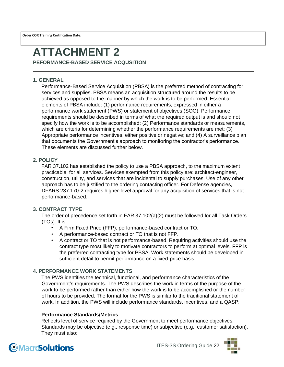**Order COR Training Certification Date:**

### **ATTACHMENT 2**

**PEFORMANCE-BASED SERVICE ACQUSITION**

#### **1. GENERAL**

Performance-Based Service Acquisition (PBSA) is the preferred method of contracting for services and supplies. PBSA means an acquisition structured around the results to be achieved as opposed to the manner by which the work is to be performed. Essential elements of PBSA include: (1) performance requirements, expressed in either a performance work statement (PWS) or statement of objectives (SOO). Performance requirements should be described in terms of what the required output is and should not specify how the work is to be accomplished; (2) Performance standards or measurements, which are criteria for determining whether the performance requirements are met; (3) Appropriate performance incentives, either positive or negative; and (4) A surveillance plan that documents the Government's approach to monitoring the contractor's performance. These elements are discussed further below.

#### **2. POLICY**

FAR 37.102 has established the policy to use a PBSA approach, to the maximum extent practicable, for all services. Services exempted from this policy are: architect-engineer, construction, utility, and services that are incidental to supply purchases. Use of any other approach has to be justified to the ordering contacting officer. For Defense agencies, DFARS 237.170-2 requires higher-level approval for any acquisition of services that is not performance-based.

#### **3. CONTRACT TYPE**

The order of precedence set forth in FAR 37.102(a)(2) must be followed for all Task Orders (TOs). It is:

- A Firm Fixed Price (FFP), performance-based contract or TO.
- A performance-based contract or TO that is not FFP.
- A contract or TO that is not performance-based. Requiring activities should use the contract type most likely to motivate contractors to perform at optimal levels. FFP is the preferred contracting type for PBSA. Work statements should be developed in sufficient detail to permit performance on a fixed-price basis.

#### **4. PERFORMANCE WORK STATEMENTS**

The PWS identifies the technical, functional, and performance characteristics of the Government's requirements. The PWS describes the work in terms of the purpose of the work to be performed rather than either how the work is to be accomplished or the number of hours to be provided. The format for the PWS is similar to the traditional statement of work. In addition, the PWS will include performance standards, incentives, and a QASP:

#### **Performance Standards/Metrics**

Reflects level of service required by the Government to meet performance objectives. Standards may be objective (e.g., response time) or subjective (e.g., customer satisfaction). They must also:



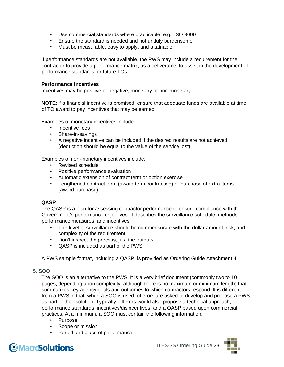- Use commercial standards where practicable, e.g., ISO 9000
- Ensure the standard is needed and not unduly burdensome
- Must be measurable, easy to apply, and attainable

If performance standards are not available, the PWS may include a requirement for the contractor to provide a performance matrix, as a deliverable, to assist in the development of performance standards for future TOs.

#### **Performance Incentives**

Incentives may be positive or negative, monetary or non-monetary.

**NOTE**: if a financial incentive is promised, ensure that adequate funds are available at time of TO award to pay incentives that may be earned.

Examples of monetary incentives include:

- Incentive fees
- Share-in-savings
- A negative incentive can be included if the desired results are not achieved (deduction should be equal to the value of the service lost).

Examples of non-monetary incentives include:

- Revised schedule
- Positive performance evaluation
- Automatic extension of contract term or option exercise
- Lengthened contract term (award term contracting) or purchase of extra items (award purchase)

#### **QASP**

The QASP is a plan for assessing contractor performance to ensure compliance with the Government's performance objectives. It describes the surveillance schedule, methods, performance measures, and incentives.

- The level of surveillance should be commensurate with the dollar amount, risk, and complexity of the requirement
- Don't inspect the process, just the outputs
- QASP is included as part of the PWS

A PWS sample format, including a QASP, is provided as Ordering Guide Attachment 4.

#### **5. SOO**

The SOO is an alternative to the PWS. It is a very brief document (commonly two to 10 pages, depending upon complexity, although there is no maximum or minimum length) that summarizes key agency goals and outcomes to which contractors respond. It is different from a PWS in that, when a SOO is used, offerors are asked to develop and propose a PWS as part of their solution. Typically, offerors would also propose a technical approach, performance standards, incentives/disincentives, and a QASP based upon commercial practices. At a minimum, a SOO must contain the following information:

- Purpose
- Scope or mission
- Period and place of performance

### **OMacroSolutions**

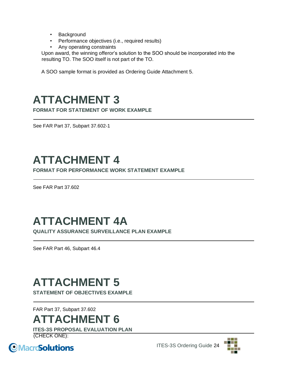- Background
- Performance objectives (i.e., required results)
- Any operating constraints

Upon award, the winning offeror's solution to the SOO should be incorporated into the resulting TO. The SOO itself is not part of the TO.

A SOO sample format is provided as Ordering Guide Attachment 5.

### **ATTACHMENT 3**

**FORMAT FOR STATEMENT OF WORK EXAMPLE**

See FAR Part 37, Subpart 37.602-1

## **ATTACHMENT 4**

**FORMAT FOR PERFORMANCE WORK STATEMENT EXAMPLE**

See FAR Part 37.602

## **ATTACHMENT 4A**

**QUALITY ASSURANCE SURVEILLANCE PLAN EXAMPLE**

See FAR Part 46, Subpart 46.4

### **ATTACHMENT 5**

**STATEMENT OF OBJECTIVES EXAMPLE**

FAR Part 37, Subpart 37.602

### **ATTACHMENT 6**

**ITES-3S PROPOSAL EVALUATION PLAN** (CHECK ONE):





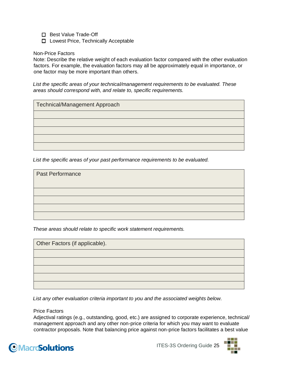□ Best Value Trade-Off

□ Lowest Price, Technically Acceptable

Non-Price Factors

Note: Describe the relative weight of each evaluation factor compared with the other evaluation factors. For example, the evaluation factors may all be approximately equal in importance, or one factor may be more important than others.

*List the specific areas of your technical/management requirements to be evaluated. These areas should correspond with, and relate to, specific requirements.* 

| Technical/Management Approach |  |
|-------------------------------|--|
|                               |  |
|                               |  |
|                               |  |
|                               |  |
|                               |  |

*List the specific areas of your past performance requirements to be evaluated.* 

| <b>Past Performance</b> |  |  |
|-------------------------|--|--|
|                         |  |  |
|                         |  |  |
|                         |  |  |
|                         |  |  |
|                         |  |  |

*These areas should relate to specific work statement requirements.* 

| Other Factors (if applicable). |  |
|--------------------------------|--|
|                                |  |
|                                |  |
|                                |  |
|                                |  |
|                                |  |

*List any other evaluation criteria important to you and the associated weights below.* 

Price Factors

Adjectival ratings (e.g., outstanding, good, etc.) are assigned to corporate experience, technical/ management approach and any other non-price criteria for which you may want to evaluate contractor proposals. Note that balancing price against non-price factors facilitates a best value



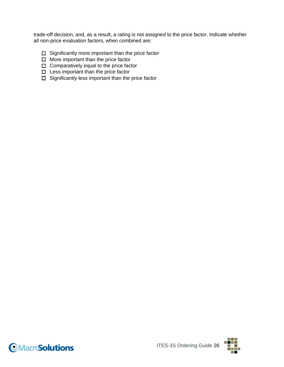trade-off decision, and, as a result, a rating is not assigned to the price factor. Indicate whether all non-price evaluation factors, when combined are:

- $\Box$  Significantly more important than the price factor
- $\Box$  More important than the price factor
- $\Box$  Comparatively equal to the price factor
- $\square$  Less important than the price factor
- $\Box$  Significantly less important than the price factor



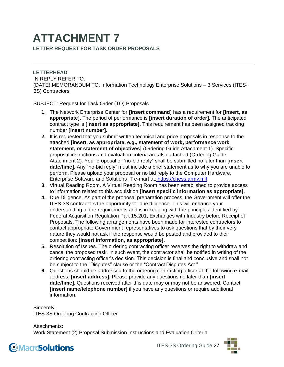# **ATTACHMENT 7**

**LETTER REQUEST FOR TASK ORDER PROPOSALS**

**LETTERHEAD** IN REPLY REFER TO: (DATE) MEMORANDUM TO: Information Technology Enterprise Solutions – 3 Services (ITES-3S) Contractors

SUBJECT: Request for Task Order (TO) Proposals

- **1.** The Network Enterprise Center for **[insert command]** has a requirement for **[insert, as appropriate].** The period of performance is **[insert duration of order].** The anticipated contract type is **[insert as appropriate].** This requirement has been assigned tracking number **[insert number].**
- **2.** It is requested that you submit written technical and price proposals in response to the attached **[insert, as appropriate, e.g., statement of work, performance work statement, or statement of objectives]** (Ordering Guide Attachment 1). Specific proposal instructions and evaluation criteria are also attached (Ordering Guide Attachment 2). Your proposal or "no-bid reply" shall be submitted no later than **[insert date/time].** Any "no-bid reply" must include a brief statement as to why you are unable to perform. Please upload your proposal or no bid reply to the Computer Hardware, Enterprise Software and Solutions IT e-mart at: [https://chess.army.mil](https://chess.army.mil/)
- **3.** Virtual Reading Room. A Virtual Reading Room has been established to provide access to information related to this acquisition **[insert specific information as appropriate].**
- **4.** Due Diligence. As part of the proposal preparation process, the Government will offer the ITES-3S contractors the opportunity for due diligence. This will enhance your understanding of the requirements and is in keeping with the principles identified by Federal Acquisition Regulation Part 15.201, Exchanges with Industry before Receipt of Proposals. The following arrangements have been made for interested contractors to contact appropriate Government representatives to ask questions that by their very nature they would not ask if the response would be posted and provided to their competition: **[insert information, as appropriate].**
- **5.** Resolution of Issues. The ordering contracting officer reserves the right to withdraw and cancel the proposed task. In such event, the contractor shall be notified in writing of the ordering contracting officer's decision. This decision is final and conclusive and shall not be subject to the "Disputes" clause or the "Contract Disputes Act."
- **6.** Questions should be addressed to the ordering contracting officer at the following e-mail address: **[insert address].** Please provide any questions no later than **[insert date/time].** Questions received after this date may or may not be answered. Contact **[insert name/telephone number]** if you have any questions or require additional information.

Sincerely, ITES-3S Ordering Contracting Officer

Attachments: Work Statement (2) Proposal Submission Instructions and Evaluation Criteria



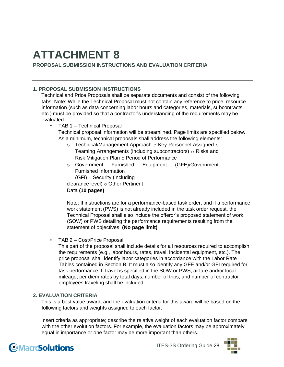### **ATTACHMENT 8 PROPOSAL SUBMISSION INSTRUCTIONS AND EVALUATION CRITERIA**

#### **1. PROPOSAL SUBMISSION INSTRUCTIONS**

Technical and Price Proposals shall be separate documents and consist of the following tabs: Note: While the Technical Proposal must not contain any reference to price, resource information (such as data concerning labor hours and categories, materials, subcontracts, etc.) must be provided so that a contractor's understanding of the requirements may be evaluated.

• TAB 1 – Technical Proposal

Technical proposal information will be streamlined. Page limits are specified below. As a minimum, technical proposals shall address the following elements:

- $\circ$  Technical/Management Approach  $\circ$  Key Personnel Assigned  $\circ$ Teaming Arrangements (including subcontractors)  $\circ$  Risks and Risk Mitigation Plan o Period of Performance
- o Government Furnished Equipment (GFE)/Government Furnished Information (GFI) o Security (including

clearance level) o Other Pertinent Data **(10 pages)** 

Note: If instructions are for a performance-based task order, and if a performance work statement (PWS) is not already included in the task order request, the Technical Proposal shall also include the offeror's proposed statement of work (SOW) or PWS detailing the performance requirements resulting from the statement of objectives. **(No page limit)** 

• TAB 2 – Cost/Price Proposal

This part of the proposal shall include details for all resources required to accomplish the requirements (e.g., labor hours, rates, travel, incidental equipment, etc.). The price proposal shall identify labor categories in accordance with the Labor Rate Tables contained in Section B. It must also identify any GFE and/or GFI required for task performance. If travel is specified in the SOW or PWS, airfare and/or local mileage, per diem rates by total days, number of trips, and number of contractor employees traveling shall be included.

#### **2. EVALUATION CRITERIA**

This is a best value award, and the evaluation criteria for this award will be based on the following factors and weights assigned to each factor.

Insert criteria as appropriate; describe the relative weight of each evaluation factor compare with the other evolution factors. For example, the evaluation factors may be approximately equal in importance or one factor may be more important than others.

### **OMacroSolutions**

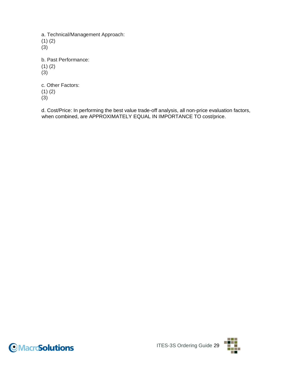a. Technical/Management Approach: (1) (2) (3) b. Past Performance: (1) (2) (3) c. Other Factors:

(1) (2)

(3)

d. Cost/Price: In performing the best value trade-off analysis, all non-price evaluation factors, when combined, are APPROXIMATELY EQUAL IN IMPORTANCE TO cost/price.



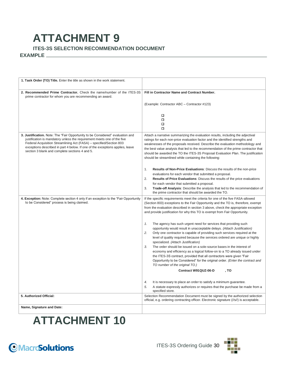### **ATTACHMENT 9 ITES-3S SELECTION RECOMMENDATION DOCUMENT**

#### **EXAMPLE**

| 1. Task Order (TO) Title. Enter the title as shown in the work statement.                                                                                                                                                                                                                                                                                           |                                                                                                                                                                                                                                                                                                                                                                                                                                                                                                                                                                                                                                                                                                                   |  |  |
|---------------------------------------------------------------------------------------------------------------------------------------------------------------------------------------------------------------------------------------------------------------------------------------------------------------------------------------------------------------------|-------------------------------------------------------------------------------------------------------------------------------------------------------------------------------------------------------------------------------------------------------------------------------------------------------------------------------------------------------------------------------------------------------------------------------------------------------------------------------------------------------------------------------------------------------------------------------------------------------------------------------------------------------------------------------------------------------------------|--|--|
| 2. Recommended Prime Contractor. Check the name/number of the ITES-3S<br>prime contractor for whom you are recommending an award.                                                                                                                                                                                                                                   | Fill in Contractor Name and Contract Number.                                                                                                                                                                                                                                                                                                                                                                                                                                                                                                                                                                                                                                                                      |  |  |
|                                                                                                                                                                                                                                                                                                                                                                     | (Example: Contractor ABC - Contractor #123)                                                                                                                                                                                                                                                                                                                                                                                                                                                                                                                                                                                                                                                                       |  |  |
|                                                                                                                                                                                                                                                                                                                                                                     | □<br>$\Box$<br>$\Box$<br>$\Box$                                                                                                                                                                                                                                                                                                                                                                                                                                                                                                                                                                                                                                                                                   |  |  |
| 3. Justification. Note: The "Fair Opportunity to be Considered" evaluation and<br>justification is mandatory unless the requirement meets one of the five<br>Federal Acquisition Streamlining Act (FASA) - specified/Section 803<br>exceptions described in part 4 below. If one of the exceptions applies, leave<br>section 3 blank and complete sections 4 and 5. | Attach a narrative summarizing the evaluation results, including the adjectival<br>ratings for each non-price evaluation factor and the identified strengths and<br>weaknesses of the proposals received. Describe the evaluation methodology and<br>the best value analysis that led to the recommendation of the prime contractor that<br>should be awarded the TO the ITES-3S Proposal Evaluation Plan. The justification<br>should be streamlined while containing the following:                                                                                                                                                                                                                             |  |  |
|                                                                                                                                                                                                                                                                                                                                                                     | 1.<br>Results of Non-Price Evaluations: Discuss the results of the non-price<br>evaluations for each vendor that submitted a proposal.<br>2.<br><b>Results of Price Evaluations:</b> Discuss the results of the price evaluations<br>for each vendor that submitted a proposal.<br>3.<br>Trade-off Analysis: Describe the analysis that led to the recommendation of<br>the prime contractor that should be awarded the TO.                                                                                                                                                                                                                                                                                       |  |  |
| 4. Exception: Note: Complete section 4 only if an exception to the "Fair Opportunity<br>to be Considered" process is being claimed.                                                                                                                                                                                                                                 | If the specific requirements meet the criteria for one of the five FASA-allowed<br>(Section 803) exceptions to the Fair Opportunity and the TO is, therefore, exempt<br>from the evaluation described in section 3 above, check the appropriate exception<br>and provide justification for why this TO is exempt from Fair Opportunity.                                                                                                                                                                                                                                                                                                                                                                           |  |  |
|                                                                                                                                                                                                                                                                                                                                                                     | 1.<br>The agency has such urgent need for services that providing such<br>opportunity would result in unacceptable delays. (Attach Justification)<br>2.<br>Only one contractor is capable of providing such services required at the<br>level of quality required because the services ordered are unique or highly<br>specialized. (Attach Justification)<br>3.<br>The order should be issued on a sole-source bases in the interest of<br>economy and efficiency as a logical follow-on to a TO already issued under<br>the ITES-3S contract, provided that all contractors were given "Fair<br>Opportunity to be Considered" for the original order. (Enter the contract and<br>TO number of the original TO.) |  |  |
|                                                                                                                                                                                                                                                                                                                                                                     | Contract W91QUZ-06-D<br>, TO                                                                                                                                                                                                                                                                                                                                                                                                                                                                                                                                                                                                                                                                                      |  |  |
|                                                                                                                                                                                                                                                                                                                                                                     | It is necessary to place an order to satisfy a minimum guarantee.<br>4.<br>5.<br>A statute expressly authorizes or requires that the purchase be made from a<br>specified store.                                                                                                                                                                                                                                                                                                                                                                                                                                                                                                                                  |  |  |
| 5. Authorized Official:                                                                                                                                                                                                                                                                                                                                             | Selection Recommendation Document must be signed by the authorized selection<br>official, e.g. ordering contracting officer. Electronic signature (//s//) is acceptable.                                                                                                                                                                                                                                                                                                                                                                                                                                                                                                                                          |  |  |
| Name, Signature and Date:                                                                                                                                                                                                                                                                                                                                           |                                                                                                                                                                                                                                                                                                                                                                                                                                                                                                                                                                                                                                                                                                                   |  |  |

## **ATTACHMENT 10**



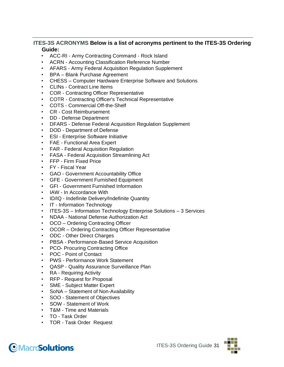#### **ITES-3S ACRONYMS Below is a list of acronyms pertinent to the ITES-3S Ordering Guide:**

- ACC-RI Army Contracting Command Rock Island
- ACRN Accounting Classification Reference Number
- AFARS Army Federal Acquisition Regulation Supplement
- BPA Blank Purchase Agreement
- CHESS Computer Hardware Enterprise Software and Solutions
- CLINs Contract Line Items
- COR Contracting Officer Representative
- COTR Contracting Officer's Technical Representative
- COTS Commercial Off-the-Shelf
- CR Cost Reimbursement
- DD Defense Department
- DFARS Defense Federal Acquisition Regulation Supplement
- DOD Department of Defense
- ESI Enterprise Software Initiative
- FAE Functional Area Expert
- FAR Federal Acquisition Regulation
- FASA Federal Acquisition Streamlining Act
- FFP Firm Fixed Price
- FY Fiscal Year
- GAO Government Accountability Office
- GFE Government Furnished Equipment
- GFI Government Furnished Information
- IAW In Accordance With
- ID/IQ Indefinite Delivery/Indefinite Quantity
- IT Information Technology
- ITES-3S Information Technology Enterprise Solutions 3 Services
- NDAA National Defense Authorization Act
- OCO Ordering Contracting Officer
- OCOR Ordering Contracting Officer Representative
- ODC Other Direct Charges
- PBSA Performance-Based Service Acquisition
- PCO- Procuring Contracting Office
- POC Point of Contact
- PWS Performance Work Statement
- QASP Quality Assurance Surveillance Plan
- RA Requiring Activity
- RFP Request for Proposal
- SME Subject Matter Expert
- SoNA Statement of Non-Availability
- SOO Statement of Objectives
- SOW Statement of Work
- T&M Time and Materials
- TO Task Order
- TOR Task Order Request

### **OMacroSolutions**

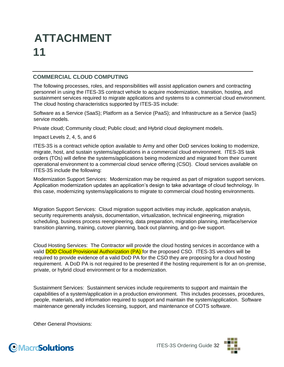# **ATTACHMENT 11**

#### **COMMERCIAL CLOUD COMPUTING**

The following processes, roles, and responsibilities will assist application owners and contracting personnel in using the ITES-3S contract vehicle to acquire modernization, transition, hosting, and sustainment services required to migrate applications and systems to a commercial cloud environment. The cloud hosting characteristics supported by ITES-3S include:

Software as a Service (SaaS); Platform as a Service (PaaS); and Infrastructure as a Service (IaaS) service models.

Private cloud; Community cloud; Public cloud; and Hybrid cloud deployment models.

Impact Levels 2, 4, 5, and 6

ITES-3S is a contract vehicle option available to Army and other DoD services looking to modernize, migrate, host, and sustain systems/applications in a commercial cloud environment. ITES-3S task orders (TOs) will define the systems/applications being modernized and migrated from their current operational environment to a commercial cloud service offering (CSO). Cloud services available on ITES-3S include the following:

Modernization Support Services: Modernization may be required as part of migration support services. Application modernization updates an application's design to take advantage of cloud technology. In this case, modernizing systems/applications to migrate to commercial cloud hosting environments.

Migration Support Services: Cloud migration support activities may include, application analysis, security requirements analysis, documentation, virtualization, technical engineering, migration scheduling, business process reengineering, data preparation, migration planning, interface/service transition planning, training, cutover planning, back out planning, and go-live support.

Cloud Hosting Services: The Contractor will provide the cloud hosting services in accordance with a valid **DOD Cloud Provisional Authorization (PA)** for the proposed CSO. ITES-3S vendors will be required to provide evidence of a valid DoD PA for the CSO they are proposing for a cloud hosting requirement. A DoD PA is not required to be presented if the hosting requirement is for an on-premise, private, or hybrid cloud environment or for a modernization.

Sustainment Services: Sustainment services include requirements to support and maintain the capabilities of a system/application in a production environment. This includes processes, procedures, people, materials, and information required to support and maintain the system/application. Software maintenance generally includes licensing, support, and maintenance of COTS software.

Other General Provisions:



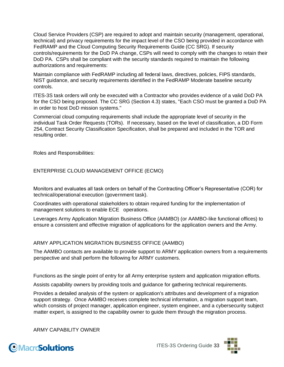Cloud Service Providers (CSP) are required to adopt and maintain security (management, operational, technical) and privacy requirements for the impact level of the CSO being provided in accordance with FedRAMP and the Cloud Computing Security Requirements Guide (CC SRG). If security controls/requirements for the DoD PA change, CSPs will need to comply with the changes to retain their DoD PA. CSPs shall be compliant with the security standards required to maintain the following authorizations and requirements:

Maintain compliance with FedRAMP including all federal laws, directives, policies, FIPS standards, NIST guidance, and security requirements identified in the FedRAMP Moderate baseline security controls.

ITES-3S task orders will only be executed with a Contractor who provides evidence of a valid DoD PA for the CSO being proposed. The CC SRG (Section 4.3) states, "Each CSO must be granted a DoD PA in order to host DoD mission systems."

Commercial cloud computing requirements shall include the appropriate level of security in the individual Task Order Requests (TORs). If necessary, based on the level of classification, a DD Form 254, Contract Security Classification Specification, shall be prepared and included in the TOR and resulting order.

Roles and Responsibilities:

ENTERPRISE CLOUD MANAGEMENT OFFICE (ECMO)

Monitors and evaluates all task orders on behalf of the Contracting Officer's Representative (COR) for technical/operational execution (government task).

Coordinates with operational stakeholders to obtain required funding for the implementation of management solutions to enable ECE operations.

Leverages Army Application Migration Business Office (AAMBO) (or AAMBO-like functional offices) to ensure a consistent and effective migration of applications for the application owners and the Army.

#### ARMY APPLICATION MIGRATION BUSINESS OFFICE (AAMBO)

The AAMBO contacts are available to provide support to ARMY application owners from a requirements perspective and shall perform the following for ARMY customers.

Functions as the single point of entry for all Army enterprise system and application migration efforts.

Assists capability owners by providing tools and guidance for gathering technical requirements.

Provides a detailed analysis of the system or application's attributes and development of a migration support strategy. Once AAMBO receives complete technical information, a migration support team, which consists of project manager, application engineer, system engineer, and a cybersecurity subject matter expert, is assigned to the capability owner to guide them through the migration process.

ARMY CAPABILITY OWNER



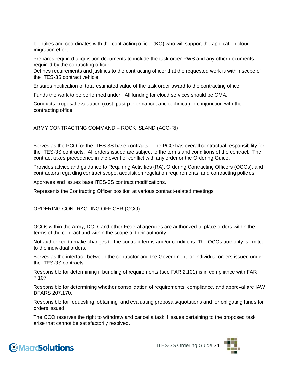Identifies and coordinates with the contracting officer (KO) who will support the application cloud migration effort.

Prepares required acquisition documents to include the task order PWS and any other documents required by the contracting officer.

Defines requirements and justifies to the contracting officer that the requested work is within scope of the ITES-3S contract vehicle.

Ensures notification of total estimated value of the task order award to the contracting office.

Funds the work to be performed under. All funding for cloud services should be OMA.

Conducts proposal evaluation (cost, past performance, and technical) in conjunction with the contracting office.

ARMY CONTRACTING COMMAND – ROCK ISLAND (ACC-RI)

Serves as the PCO for the ITES-3S base contracts. The PCO has overall contractual responsibility for the ITES-3S contracts. All orders issued are subject to the terms and conditions of the contract. The contract takes precedence in the event of conflict with any order or the Ordering Guide.

Provides advice and guidance to Requiring Activities (RA), Ordering Contracting Officers (OCOs), and contractors regarding contract scope, acquisition regulation requirements, and contracting policies.

Approves and issues base ITES-3S contract modifications.

Represents the Contracting Officer position at various contract-related meetings.

#### ORDERING CONTRACTING OFFICER (OCO)

OCOs within the Army, DOD, and other Federal agencies are authorized to place orders within the terms of the contract and within the scope of their authority.

Not authorized to make changes to the contract terms and/or conditions. The OCOs authority is limited to the individual orders.

Serves as the interface between the contractor and the Government for individual orders issued under the ITES-3S contracts.

Responsible for determining if bundling of requirements (see FAR 2.101) is in compliance with FAR 7.107.

Responsible for determining whether consolidation of requirements, compliance, and approval are IAW DFARS 207.170.

Responsible for requesting, obtaining, and evaluating proposals/quotations and for obligating funds for orders issued.

The OCO reserves the right to withdraw and cancel a task if issues pertaining to the proposed task arise that cannot be satisfactorily resolved.